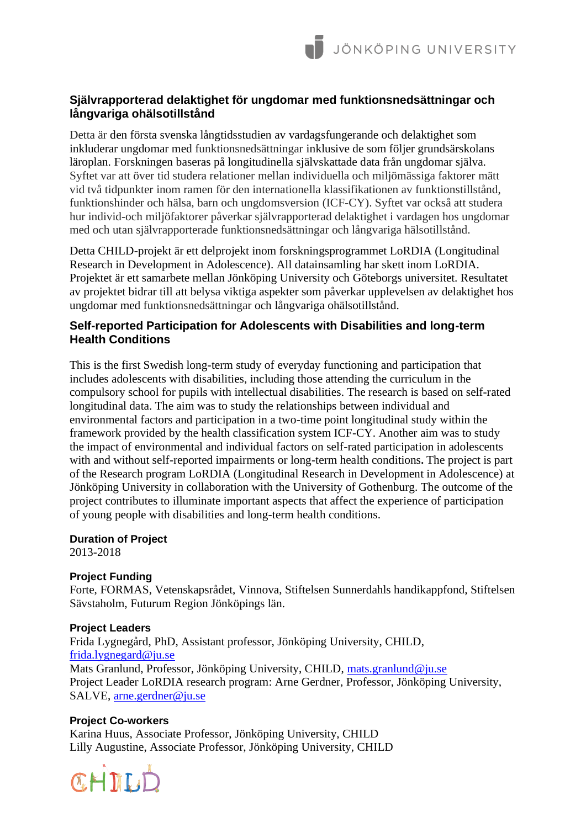# **Självrapporterad delaktighet för ungdomar med funktionsnedsättningar och långvariga ohälsotillstånd**

Detta är den första svenska långtidsstudien av vardagsfungerande och delaktighet som inkluderar ungdomar med funktionsnedsättningar inklusive de som följer grundsärskolans läroplan. Forskningen baseras på longitudinella självskattade data från ungdomar själva. Syftet var att över tid studera relationer mellan individuella och miljömässiga faktorer mätt vid två tidpunkter inom ramen för den internationella klassifikationen av funktionstillstånd, funktionshinder och hälsa, barn och ungdomsversion (ICF-CY). Syftet var också att studera hur individ-och miljöfaktorer påverkar självrapporterad delaktighet i vardagen hos ungdomar med och utan självrapporterade funktionsnedsättningar och långvariga hälsotillstånd.

Detta CHILD-projekt är ett delprojekt inom forskningsprogrammet LoRDIA (Longitudinal Research in Development in Adolescence). All datainsamling har skett inom LoRDIA. Projektet är ett samarbete mellan Jönköping University och Göteborgs universitet. Resultatet av projektet bidrar till att belysa viktiga aspekter som påverkar upplevelsen av delaktighet hos ungdomar med funktionsnedsättningar och långvariga ohälsotillstånd.

## **Self-reported Participation for Adolescents with Disabilities and long-term Health Conditions**

This is the first Swedish long-term study of everyday functioning and participation that includes adolescents with disabilities, including those attending the curriculum in the compulsory school for pupils with intellectual disabilities. The research is based on self-rated longitudinal data. The aim was to study the relationships between individual and environmental factors and participation in a two-time point longitudinal study within the framework provided by the health classification system ICF-CY. Another aim was to study the impact of environmental and individual factors on self-rated participation in adolescents with and without self-reported impairments or long-term health conditions**.** The project is part of the Research program LoRDIA (Longitudinal Research in Development in Adolescence) at Jönköping University in collaboration with the University of Gothenburg. The outcome of the project contributes to illuminate important aspects that affect the experience of participation of young people with disabilities and long-term health conditions.

**Duration of Project**

2013-2018

## **Project Funding**

Forte, FORMAS, Vetenskapsrådet, Vinnova, Stiftelsen Sunnerdahls handikappfond, Stiftelsen Sävstaholm, Futurum Region Jönköpings län.

## **Project Leaders**

Frida Lygnegård, PhD, Assistant professor, Jönköping University, CHILD, [frida.lygnegard@ju.se](mailto:frida.lygnegard@ju.se) Mats Granlund, Professor, Jönköping University, CHILD, [mats.granlund@ju.se](mailto:mats.granlund@ju.se) Project Leader LoRDIA research program: Arne Gerdner, Professor, Jönköping University, SALVE, [arne.gerdner@ju.se](mailto:arne.gerdner@ju.se)

## **Project Co-workers**

Karina Huus, Associate Professor, Jönköping University, CHILD Lilly Augustine, Associate Professor, Jönköping University, CHILD